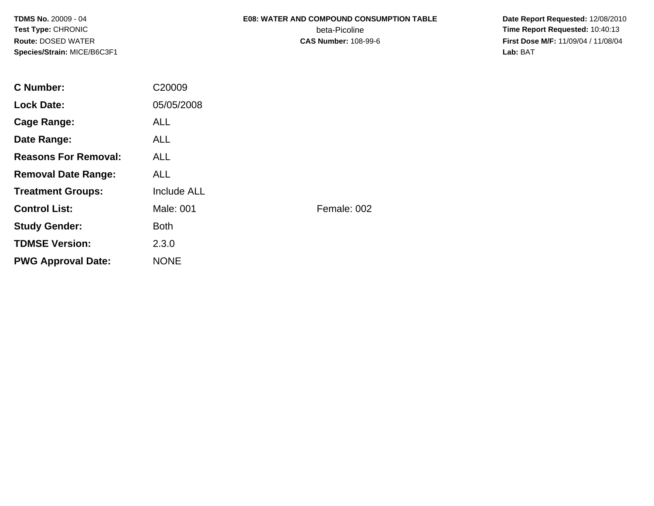# **E08: WATER AND COMPOUND CONSUMPTION TABLE**

beta-Picoline<br>CAS Number: 108-99-6

 **Date Report Requested:** 12/08/2010 **Time Report Requested:** 10:40:13 **First Dose M/F:** 11/09/04 / 11/08/04<br>Lab: BAT **Lab:** BAT

| <b>C</b> Number:            | C20009      |             |
|-----------------------------|-------------|-------------|
| <b>Lock Date:</b>           | 05/05/2008  |             |
| Cage Range:                 | <b>ALL</b>  |             |
| Date Range:                 | <b>ALL</b>  |             |
| <b>Reasons For Removal:</b> | <b>ALL</b>  |             |
| <b>Removal Date Range:</b>  | <b>ALL</b>  |             |
| <b>Treatment Groups:</b>    | Include ALL |             |
| <b>Control List:</b>        | Male: 001   | Female: 002 |
| <b>Study Gender:</b>        | <b>Both</b> |             |
| <b>TDMSE Version:</b>       | 2.3.0       |             |
| <b>PWG Approval Date:</b>   | <b>NONE</b> |             |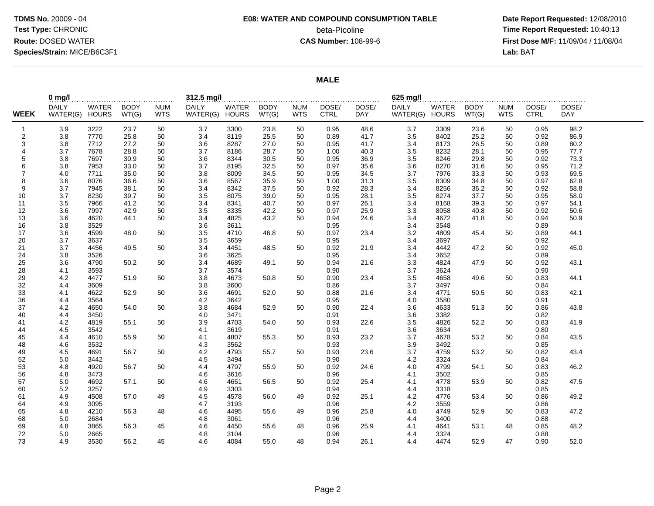# **E08: WATER AND COMPOUND CONSUMPTION TABLE**beta-Picoline<br>CAS Number: 108-99-6

 **Date Report Requested:** 12/08/2010 **Time Report Requested:** 10:40:13 **First Dose M/F:** 11/09/04 / 11/08/04<br>**Lab:** BAT **Lab:** BAT

#### **MALE**

|                | $0$ mg/                        |              |                      |                          | 312.5 mg/l                     |       |                      |                          |                      |                     | 625 mg/l                       |       | .                    |                          |                      | .                   |  |
|----------------|--------------------------------|--------------|----------------------|--------------------------|--------------------------------|-------|----------------------|--------------------------|----------------------|---------------------|--------------------------------|-------|----------------------|--------------------------|----------------------|---------------------|--|
| <b>WEEK</b>    | <b>DAILY</b><br>WATER(G) HOURS | <b>WATER</b> | <b>BODY</b><br>WT(G) | <b>NUM</b><br><b>WTS</b> | <b>DAILY</b><br>WATER(G) HOURS | WATER | <b>BODY</b><br>WT(G) | <b>NUM</b><br><b>WTS</b> | DOSE/<br><b>CTRL</b> | DOSE/<br><b>DAY</b> | <b>DAILY</b><br>WATER(G) HOURS | WATER | <b>BODY</b><br>WT(G) | <b>NUM</b><br><b>WTS</b> | DOSE/<br><b>CTRL</b> | DOSE/<br><b>DAY</b> |  |
| $\mathbf{1}$   | 3.9                            | 3222         | 23.7                 | 50                       | 3.7                            | 3300  | 23.8                 | 50                       | 0.95                 | 48.6                | 3.7                            | 3309  | 23.6                 | 50                       | 0.95                 | 98.2                |  |
| $\overline{2}$ | 3.8                            | 7770         | 25.8                 | 50                       | 3.4                            | 8119  | 25.5                 | 50                       | 0.89                 | 41.7                | 3.5                            | 8402  | 25.2                 | 50                       | 0.92                 | 86.9                |  |
| 3              | 3.8                            | 7712         | 27.2                 | 50                       | 3.6                            | 8287  | 27.0                 | 50                       | 0.95                 | 41.7                | 3.4                            | 8173  | 26.5                 | 50                       | 0.89                 | 80.2                |  |
| $\overline{4}$ | 3.7                            | 7678         | 28.8                 | 50                       | 3.7                            | 8186  | 28.7                 | 50                       | 1.00                 | 40.3                | 3.5                            | 8232  | 28.1                 | 50                       | 0.95                 | 77.7                |  |
| 5              | 3.8                            | 7697         | 30.9                 | 50                       | 3.6                            | 8344  | 30.5                 | 50                       | 0.95                 | 36.9                | 3.5                            | 8246  | 29.8                 | 50                       | 0.92                 | 73.3                |  |
| 6              | 3.8                            | 7953         | 33.0                 | 50                       | 3.7                            | 8195  | 32.5                 | 50                       | 0.97                 | 35.6                | 3.6                            | 8270  | 31.6                 | 50                       | 0.95                 | 71.2                |  |
| $\overline{7}$ | 4.0                            | 7711         | 35.0                 | 50                       | 3.8                            | 8009  | 34.5                 | 50                       | 0.95                 | 34.5                | 3.7                            | 7976  | 33.3                 | 50                       | 0.93                 | 69.5                |  |
| 8              | 3.6                            | 8076         | 36.6                 | 50                       | 3.6                            | 8567  | 35.9                 | 50                       | 1.00                 | 31.3                | 3.5                            | 8309  | 34.8                 | 50                       | 0.97                 | 62.8                |  |
| 9              | 3.7                            | 7945         | 38.1                 | 50                       | 3.4                            | 8342  | 37.5                 | 50                       | 0.92                 | 28.3                | 3.4                            | 8256  | 36.2                 | 50                       | 0.92                 | 58.8                |  |
| 10             | 3.7                            | 8230         | 39.7                 | 50                       | 3.5                            | 8075  | 39.0                 | 50                       | 0.95                 | 28.1                | 3.5                            | 8274  | 37.7                 | 50                       | 0.95                 | 58.0                |  |
| 11             | 3.5                            | 7966         | 41.2                 | 50                       | 3.4                            | 8341  | 40.7                 | 50                       | 0.97                 | 26.1                | 3.4                            | 8168  | 39.3                 | 50                       | 0.97                 | 54.1                |  |
| 12             | 3.6                            | 7997         | 42.9                 | 50                       | 3.5                            | 8335  | 42.2                 | 50                       | 0.97                 | 25.9                | 3.3                            | 8058  | 40.8                 | 50                       | 0.92                 | 50.6                |  |
| 13             | 3.6                            | 4620         | 44.1                 | 50                       | 3.4                            | 4825  | 43.2                 | 50                       | 0.94                 | 24.6                | 3.4                            | 4672  | 41.8                 | 50                       | 0.94                 | 50.9                |  |
| 16             | 3.8                            | 3529         |                      |                          | 3.6                            | 3611  |                      |                          | 0.95                 |                     | 3.4                            | 3548  |                      |                          | 0.89                 |                     |  |
| 17             | 3.6                            | 4599         | 48.0                 | 50                       | 3.5                            | 4710  | 46.8                 | 50                       | 0.97                 | 23.4                | 3.2                            | 4809  | 45.4                 | 50                       | 0.89                 | 44.1                |  |
| 20             | 3.7                            | 3637         |                      |                          | 3.5                            | 3659  |                      |                          | 0.95                 |                     | 3.4                            | 3697  |                      |                          | 0.92                 |                     |  |
| 21             | 3.7                            | 4456         | 49.5                 | 50                       | 3.4                            | 4451  | 48.5                 | 50                       | 0.92                 | 21.9                | 3.4                            | 4442  | 47.2                 | 50                       | 0.92                 | 45.0                |  |
| 24             | 3.8                            | 3526         |                      |                          | 3.6                            | 3625  |                      |                          | 0.95                 |                     | 3.4                            | 3652  |                      |                          | 0.89                 |                     |  |
| 25             | 3.6                            | 4790         | 50.2                 | 50                       | 3.4                            | 4689  | 49.1                 | 50                       | 0.94                 | 21.6                | 3.3                            | 4824  | 47.9                 | 50                       | 0.92                 | 43.1                |  |
| 28             | 4.1                            | 3593         |                      |                          | 3.7                            | 3574  |                      |                          | 0.90                 |                     | 3.7                            | 3624  |                      |                          | 0.90                 |                     |  |
| 29             | 4.2                            | 4477         | 51.9                 | 50                       | 3.8                            | 4673  | 50.8                 | 50                       | 0.90                 | 23.4                | 3.5                            | 4658  | 49.6                 | 50                       | 0.83                 | 44.1                |  |
| 32             | 4.4                            | 3609         |                      |                          | 3.8                            | 3600  |                      |                          | 0.86                 |                     | 3.7                            | 3497  |                      |                          | 0.84                 |                     |  |
| 33             | 4.1                            | 4622         | 52.9                 | 50                       | 3.6                            | 4691  | 52.0                 | 50                       | 0.88                 | 21.6                | 3.4                            | 4771  | 50.5                 | 50                       | 0.83                 | 42.1                |  |
| 36             | 4.4                            | 3564         |                      |                          | 4.2                            | 3642  |                      |                          | 0.95                 |                     | 4.0                            | 3580  |                      |                          | 0.91                 |                     |  |
| 37             | 4.2                            | 4650         | 54.0                 | 50                       | 3.8                            | 4684  | 52.9                 | 50                       | 0.90                 | 22.4                | 3.6                            | 4633  | 51.3                 | 50                       | 0.86                 | 43.8                |  |
| 40             | 4.4                            | 3450         |                      |                          | 4.0                            | 3471  |                      |                          | 0.91                 |                     | 3.6                            | 3382  |                      |                          | 0.82                 |                     |  |
| 41             | 4.2                            | 4819         | 55.1                 | 50                       | 3.9                            | 4703  | 54.0                 | 50                       | 0.93                 | 22.6                | 3.5                            | 4826  | 52.2                 | 50                       | 0.83                 | 41.9                |  |
| 44             | 4.5                            | 3542         |                      |                          | 4.1                            | 3619  |                      |                          | 0.91                 |                     | 3.6                            | 3634  |                      |                          | 0.80                 |                     |  |
| 45             | 4.4                            | 4610         | 55.9                 | 50                       | 4.1                            | 4807  | 55.3                 | 50                       | 0.93                 | 23.2                | 3.7                            | 4678  | 53.2                 | 50                       | 0.84                 | 43.5                |  |
| 48             | 4.6                            | 3532         |                      |                          | 4.3                            | 3562  |                      |                          | 0.93                 |                     | 3.9                            | 3492  |                      |                          | 0.85                 |                     |  |
| 49             | 4.5                            | 4691         | 56.7                 | 50                       | 4.2                            | 4793  | 55.7                 | 50                       | 0.93                 | 23.6                | 3.7                            | 4759  | 53.2                 | 50                       | 0.82                 | 43.4                |  |
| 52             | 5.0                            | 3442         |                      |                          | 4.5                            | 3494  |                      |                          | 0.90                 |                     | 4.2                            | 3324  |                      |                          | 0.84                 |                     |  |
| 53             | 4.8                            | 4920         | 56.7                 | 50                       | 4.4                            | 4797  | 55.9                 | 50                       | 0.92                 | 24.6                | 4.0                            | 4799  | 54.1                 | 50                       | 0.83                 | 46.2                |  |
| 56             | 4.8                            | 3473         |                      |                          | 4.6                            | 3616  |                      |                          | 0.96                 |                     | 4.1                            | 3502  |                      |                          | 0.85                 |                     |  |
| 57             | 5.0                            | 4692         | 57.1                 | 50                       | 4.6                            | 4651  | 56.5                 | 50                       | 0.92                 | 25.4                | 4.1                            | 4778  | 53.9                 | 50                       | 0.82                 | 47.5                |  |
| 60             | 5.2                            | 3257         |                      |                          | 4.9                            | 3303  |                      |                          | 0.94                 |                     | 4.4                            | 3318  |                      |                          | 0.85                 |                     |  |
| 61             | 4.9                            | 4508         | 57.0                 | 49                       | 4.5                            | 4578  | 56.0                 | 49                       | 0.92                 | 25.1                | 4.2                            | 4776  | 53.4                 | 50                       | 0.86                 | 49.2                |  |
| 64             | 4.9                            | 3095         |                      |                          | 4.7                            | 3193  |                      |                          | 0.96                 |                     | 4.2                            | 3559  |                      |                          | 0.86                 |                     |  |
| 65             | 4.8                            | 4210         | 56.3                 | 48                       | 4.6                            | 4495  | 55.6                 | 49                       | 0.96                 | 25.8                | 4.0                            | 4749  | 52.9                 | 50                       | 0.83                 | 47.2                |  |
| 68             | 5.0                            | 2684         |                      |                          | 4.8                            | 3061  |                      |                          | 0.96                 |                     | 4.4                            | 3400  |                      |                          | 0.88                 |                     |  |
| 69             | 4.8                            | 3865         | 56.3                 | 45                       | 4.6                            | 4450  | 55.6                 | 48                       | 0.96                 | 25.9                | 4.1                            | 4641  | 53.1                 | 48                       | 0.85                 | 48.2                |  |
| 72             | 5.0                            | 2665         |                      |                          | 4.8                            | 3104  |                      |                          | 0.96                 |                     | 4.4                            | 3324  |                      |                          | 0.88                 |                     |  |
| 73             | 4.9                            | 3530         | 56.2                 | 45                       | 4.6                            | 4084  | 55.0                 | 48                       | 0.94                 | 26.1                | 4.4                            | 4474  | 52.9                 | 47                       | 0.90                 | 52.0                |  |
|                |                                |              |                      |                          |                                |       |                      |                          |                      |                     |                                |       |                      |                          |                      |                     |  |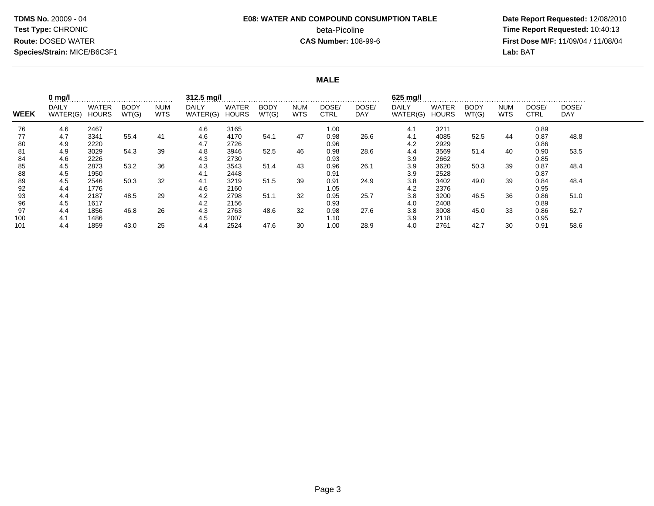# **E08: WATER AND COMPOUND CONSUMPTION TABLE**beta-Picoline<br>CAS Number: 108-99-6

 **Date Report Requested:** 12/08/2010 **Time Report Requested:** 10:40:13 **First Dose M/F:** 11/09/04 / 11/08/04<br>Lab: BAT **Lab:** BAT

#### **MALE**

|             | $0$ mg/l                 |                       |                      |                          | 312.5 mg/l        |                       |                      |                          |                      |              | 625 mg/l<br>$\frac{1}{2}$ |                              |                      |                          |                      |              |
|-------------|--------------------------|-----------------------|----------------------|--------------------------|-------------------|-----------------------|----------------------|--------------------------|----------------------|--------------|---------------------------|------------------------------|----------------------|--------------------------|----------------------|--------------|
| <b>WEEK</b> | <b>DAILY</b><br>WATER(G) | WATER<br><b>HOURS</b> | <b>BODY</b><br>WT(G) | <b>NUM</b><br><b>WTS</b> | DAILY<br>WATER(G) | WATER<br><b>HOURS</b> | <b>BODY</b><br>WT(G) | <b>NUM</b><br><b>WTS</b> | DOSE/<br><b>CTRL</b> | DOSE/<br>DAY | <b>DAILY</b><br>WATER(G)  | <b>WATER</b><br><b>HOURS</b> | <b>BODY</b><br>WT(G) | <b>NUM</b><br><b>WTS</b> | DOSE/<br><b>CTRL</b> | DOSE/<br>DAY |
| 76          | 4.6                      | 2467                  |                      |                          | 4.6               | 3165                  |                      |                          | 1.00                 |              | 4.1                       | 3211                         |                      |                          | 0.89                 |              |
| 77          | 4.7                      | 3341                  | 55.4                 | 41                       | 4.6               | 4170                  | 54.1                 | 47                       | 0.98                 | 26.6         | 4.1                       | 4085                         | 52.5                 | 44                       | 0.87                 | 48.8         |
| 80          | 4.9                      | 2220                  |                      |                          | 4.7               | 2726                  |                      |                          | 0.96                 |              | 4.2                       | 2929                         |                      |                          | 0.86                 |              |
| 81          | 4.9                      | 3029                  | 54.3                 | 39                       | 4.8               | 3946                  | 52.5                 | 46                       | 0.98                 | 28.6         | 4.4                       | 3569                         | 51.4                 | 40                       | 0.90                 | 53.5         |
| 84          | 4.6                      | 2226                  |                      |                          | 4.3               | 2730                  |                      |                          | 0.93                 |              | 3.9                       | 2662                         |                      |                          | 0.85                 |              |
| 85          | 4.5                      | 2873                  | 53.2                 | 36                       | 4.3               | 3543                  | 51.4                 | 43                       | 0.96                 | 26.1         | 3.9                       | 3620                         | 50.3                 | 39                       | 0.87                 | 48.4         |
| 88          | 4.5                      | 1950                  |                      |                          | 4.1               | 2448                  |                      |                          | 0.91                 |              | 3.9                       | 2528                         |                      |                          | 0.87                 |              |
| 89          | 4.5                      | 2546                  | 50.3                 | 32                       | 4.1               | 3219                  | 51.5                 | 39                       | 0.91                 | 24.9         | 3.8                       | 3402                         | 49.0                 | 39                       | 0.84                 | 48.4         |
| 92          | 4.4                      | 1776                  |                      |                          | 4.6               | 2160                  |                      |                          | 1.05                 |              | 4.2                       | 2376                         |                      |                          | 0.95                 |              |
| 93          | 4.4                      | 2187                  | 48.5                 | 29                       | 4.2               | 2798                  | 51.1                 | 32                       | 0.95                 | 25.7         | 3.8                       | 3200                         | 46.5                 | 36                       | 0.86                 | 51.0         |
| 96          | 4.5                      | 1617                  |                      |                          | 4.2               | 2156                  |                      |                          | 0.93                 |              | 4.0                       | 2408                         |                      |                          | 0.89                 |              |
| 97          | 4.4                      | 1856                  | 46.8                 | 26                       | 4.3               | 2763                  | 48.6                 | 32                       | 0.98                 | 27.6         | 3.8                       | 3008                         | 45.0                 | 33                       | 0.86                 | 52.7         |
| 100         | 4.1                      | 1486                  |                      |                          | 4.5               | 2007                  |                      |                          | 1.10                 |              | 3.9                       | 2118                         |                      |                          | 0.95                 |              |
| 101         | 4.4                      | 1859                  | 43.0                 | 25                       | 4.4               | 2524                  | 47.6                 | 30                       | 1.00                 | 28.9         | 4.0                       | 2761                         | 42.7                 | 30                       | 0.91                 | 58.6         |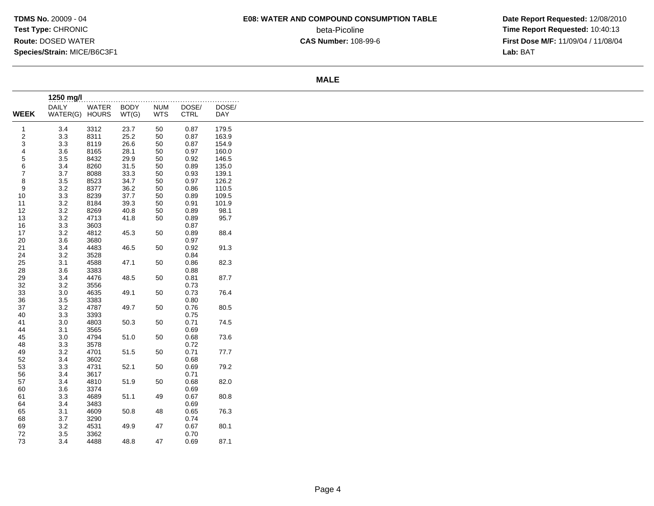# **E08: WATER AND COMPOUND CONSUMPTION TABLE**

beta-Picoline<br>CAS Number: 108-99-6

 **Date Report Requested:** 12/08/2010 **Time Report Requested:** 10:40:13 **First Dose M/F:** 11/09/04 / 11/08/04<br>Lab: BAT **Lab:** BAT

#### **MALE**

|                | 1250 mg/l      |       |             |            |             |       |
|----------------|----------------|-------|-------------|------------|-------------|-------|
|                | <b>DAILY</b>   | WATER | <b>BODY</b> | <b>NUM</b> | DOSE/       | DOSE/ |
| <b>WEEK</b>    | WATER(G) HOURS |       | WT(G)       | <b>WTS</b> | <b>CTRL</b> | DAY   |
| $\mathbf{1}$   | 3.4            | 3312  | 23.7        | 50         | 0.87        | 179.5 |
| $\sqrt{2}$     | 3.3            | 8311  | 25.2        | 50         | 0.87        | 163.9 |
| 3              | 3.3            | 8119  | 26.6        | 50         | 0.87        | 154.9 |
| 4              | 3.6            | 8165  | 28.1        | 50         | 0.97        | 160.0 |
| 5              | 3.5            | 8432  | 29.9        | 50         | 0.92        | 146.5 |
| 6              | 3.4            | 8260  | 31.5        | 50         | 0.89        | 135.0 |
| $\overline{7}$ | 3.7            | 8088  | 33.3        | 50         | 0.93        | 139.1 |
| 8              | 3.5            | 8523  | 34.7        | 50         | 0.97        | 126.2 |
| 9              | $3.2\,$        | 8377  | 36.2        | 50         | 0.86        | 110.5 |
| 10             | 3.3            | 8239  | 37.7        | 50         | 0.89        | 109.5 |
| 11             | $3.2\,$        | 8184  | 39.3        | 50         | 0.91        | 101.9 |
| 12             | $3.2\,$        | 8269  | 40.8        | 50         | 0.89        | 98.1  |
| 13             | 3.2            | 4713  | 41.8        | 50         | 0.89        | 95.7  |
| 16             | 3.3            | 3603  |             |            | 0.87        |       |
| 17             | 3.2            | 4812  | 45.3        | 50         | 0.89        | 88.4  |
| 20             | 3.6            | 3680  |             |            | 0.97        |       |
| 21             | 3.4            | 4483  | 46.5        | 50         | 0.92        | 91.3  |
| 24             | 3.2            | 3528  |             |            | 0.84        |       |
| 25             | 3.1            | 4588  | 47.1        | 50         | 0.86        | 82.3  |
| 28             | 3.6            | 3383  |             |            | 0.88        |       |
| 29             | 3.4            | 4476  | 48.5        | 50         | 0.81        | 87.7  |
| 32             | $3.2\,$        | 3556  |             |            | 0.73        |       |
| 33             | 3.0            | 4635  | 49.1        | 50         | 0.73        | 76.4  |
| 36             | 3.5            | 3383  |             |            | 0.80        |       |
| 37             | 3.2            | 4787  | 49.7        | 50         | 0.76        | 80.5  |
| 40             | 3.3            | 3393  |             |            | 0.75        |       |
| 41             | 3.0            | 4803  | 50.3        | 50         | 0.71        | 74.5  |
| 44             | 3.1            | 3565  |             |            | 0.69        |       |
| 45             | 3.0            | 4794  | 51.0        | 50         | 0.68        | 73.6  |
| 48             | 3.3            | 3578  |             |            | 0.72        |       |
| 49             | $3.2\,$        | 4701  | 51.5        | 50         | 0.71        | 77.7  |
| 52             | 3.4            | 3602  |             |            | 0.68        |       |
| 53             | 3.3            | 4731  | 52.1        | 50         | 0.69        | 79.2  |
| 56             | 3.4            | 3617  |             |            | 0.71        |       |
| 57             | 3.4            | 4810  | 51.9        | 50         | 0.68        | 82.0  |
| 60             | 3.6            | 3374  |             |            | 0.69        |       |
| 61             | 3.3            | 4689  | 51.1        | 49         | 0.67        | 80.8  |
| 64             | 3.4            | 3483  |             |            | 0.69        |       |
| 65             | 3.1            | 4609  | 50.8        | 48         | 0.65        | 76.3  |
| 68             | 3.7            | 3290  |             |            | 0.74        |       |
| 69             | $3.2\,$        | 4531  | 49.9        | 47         | 0.67        | 80.1  |
| 72             | 3.5            | 3362  |             |            | 0.70        |       |
| 73             | 3.4            | 4488  | 48.8        | 47         | 0.69        | 87.1  |
|                |                |       |             |            |             |       |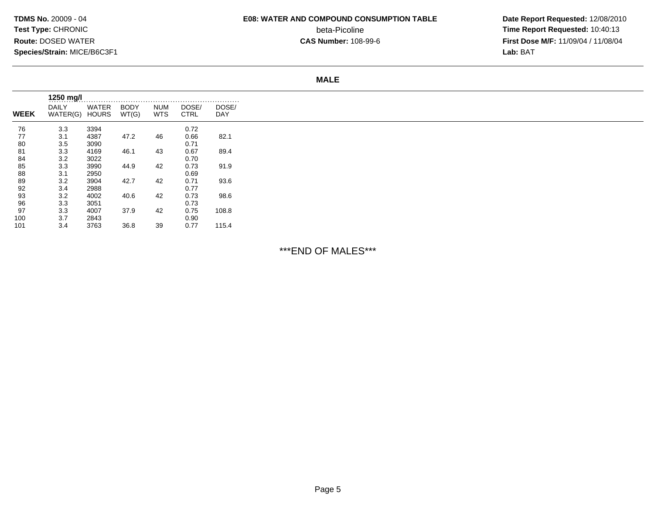# **E08: WATER AND COMPOUND CONSUMPTION TABLE**

beta-Picoline<br>CAS Number: 108-99-6

 **Date Report Requested:** 12/08/2010 **Time Report Requested:** 10:40:13 **First Dose M/F:** 11/09/04 / 11/08/04<br>Lab: BAT **Lab:** BAT

**MALE**

| <b>WEEK</b> | <b>DAILY</b><br>WATER(G) | WATER<br><b>HOURS</b> | <b>BODY</b><br>WT(G) | <b>NUM</b><br><b>WTS</b> | DOSE/<br><b>CTRL</b> | DOSE/<br>DAY |
|-------------|--------------------------|-----------------------|----------------------|--------------------------|----------------------|--------------|
| 76          | 3.3                      | 3394                  |                      |                          | 0.72                 |              |
| 77          | 3.1                      | 4387                  | 47.2                 | 46                       | 0.66                 | 82.1         |
| 80          | 3.5                      | 3090                  |                      |                          | 0.71                 |              |
| 81          | 3.3                      | 4169                  | 46.1                 | 43                       | 0.67                 | 89.4         |
| 84          | 3.2                      | 3022                  |                      |                          | 0.70                 |              |
| 85          | 3.3                      | 3990                  | 44.9                 | 42                       | 0.73                 | 91.9         |
| 88          | 3.1                      | 2950                  |                      |                          | 0.69                 |              |
| 89          | 3.2                      | 3904                  | 42.7                 | 42                       | 0.71                 | 93.6         |
| 92          | 3.4                      | 2988                  |                      |                          | 0.77                 |              |
| 93          | 3.2                      | 4002                  | 40.6                 | 42                       | 0.73                 | 98.6         |
| 96          | 3.3                      | 3051                  |                      |                          | 0.73                 |              |
| 97          | 3.3                      | 4007                  | 37.9                 | 42                       | 0.75                 | 108.8        |
| 100         | 3.7                      | 2843                  |                      |                          | 0.90                 |              |
| 101         | 3.4                      | 3763                  | 36.8                 | 39                       | 0.77                 | 115.4        |

\*\*\*END OF MALES\*\*\*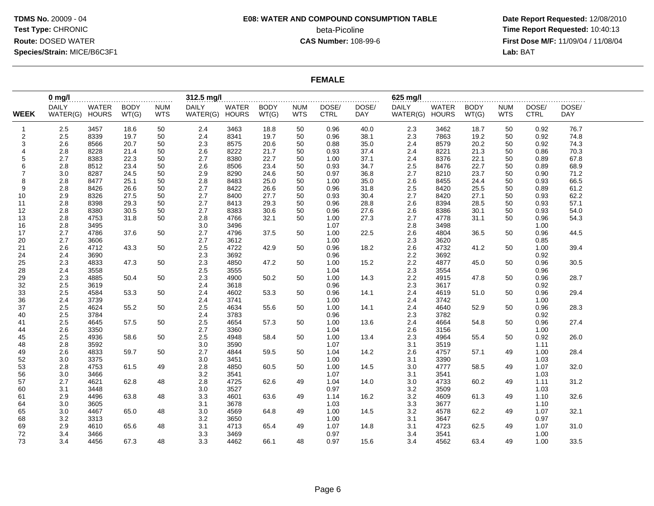# **E08: WATER AND COMPOUND CONSUMPTION TABLE**beta-Picoline<br>CAS Number: 108-99-6

 **Date Report Requested:** 12/08/2010 **Time Report Requested:** 10:40:13 **First Dose M/F:** 11/09/04 / 11/08/04<br>Lab: BAT **Lab:** BAT

### **FEMALE**

|                | $0$ mg/                        |              |                      |                          | 312.5 mg/l                     |       |                      |                          |                      |                     | 625 mg/l                 |                       |                      |                          |                      |                          |  |
|----------------|--------------------------------|--------------|----------------------|--------------------------|--------------------------------|-------|----------------------|--------------------------|----------------------|---------------------|--------------------------|-----------------------|----------------------|--------------------------|----------------------|--------------------------|--|
| <b>WEEK</b>    | <b>DAILY</b><br>WATER(G) HOURS | <b>WATER</b> | <b>BODY</b><br>WT(G) | <b>NUM</b><br><b>WTS</b> | <b>DAILY</b><br>WATER(G) HOURS | WATER | <b>BODY</b><br>WT(G) | <b>NUM</b><br><b>WTS</b> | DOSE/<br><b>CTRL</b> | DOSE/<br><b>DAY</b> | <b>DAILY</b><br>WATER(G) | WATER<br><b>HOURS</b> | <b>BODY</b><br>WT(G) | <b>NUM</b><br><b>WTS</b> | DOSE/<br><b>CTRL</b> | .<br>DOSE/<br><b>DAY</b> |  |
|                |                                |              |                      |                          |                                |       |                      |                          |                      |                     |                          |                       |                      |                          |                      |                          |  |
| $\mathbf{1}$   | 2.5                            | 3457         | 18.6                 | 50                       | 2.4                            | 3463  | 18.8                 | 50                       | 0.96                 | 40.0                | 2.3                      | 3462                  | 18.7                 | 50                       | 0.92                 | 76.7                     |  |
| $\overline{2}$ | 2.5                            | 8339         | 19.7                 | 50                       | 2.4                            | 8341  | 19.7                 | 50                       | 0.96                 | 38.1                | 2.3                      | 7863                  | 19.2                 | 50                       | 0.92                 | 74.8                     |  |
| 3              | 2.6                            | 8566         | 20.7                 | 50                       | 2.3                            | 8575  | 20.6                 | 50                       | 0.88                 | 35.0                | 2.4                      | 8579                  | 20.2                 | 50                       | 0.92                 | 74.3                     |  |
| $\overline{4}$ | 2.8                            | 8228         | 21.4                 | 50                       | 2.6                            | 8222  | 21.7                 | 50                       | 0.93                 | 37.4                | 2.4                      | 8221                  | 21.3                 | 50                       | 0.86                 | 70.3                     |  |
| 5              | 2.7                            | 8383         | 22.3                 | 50                       | 2.7                            | 8380  | 22.7                 | 50                       | 1.00                 | 37.1                | 2.4                      | 8376                  | 22.1                 | 50                       | 0.89                 | 67.8                     |  |
| 6              | 2.8                            | 8512         | 23.4                 | 50                       | 2.6                            | 8506  | 23.4                 | 50                       | 0.93                 | 34.7                | 2.5                      | 8476                  | 22.7                 | 50                       | 0.89                 | 68.9                     |  |
| $\overline{7}$ | 3.0                            | 8287         | 24.5                 | 50                       | 2.9                            | 8290  | 24.6                 | 50                       | 0.97                 | 36.8                | 2.7                      | 8210                  | 23.7                 | 50                       | 0.90                 | 71.2                     |  |
| 8              | 2.8                            | 8477         | 25.1                 | 50                       | 2.8                            | 8483  | 25.0                 | 50                       | 1.00                 | 35.0                | 2.6                      | 8455                  | 24.4                 | 50                       | 0.93                 | 66.5                     |  |
| 9              | 2.8                            | 8426         | 26.6                 | 50                       | 2.7                            | 8422  | 26.6                 | 50                       | 0.96                 | 31.8                | 2.5                      | 8420                  | 25.5                 | 50                       | 0.89                 | 61.2                     |  |
| 10             | 2.9                            | 8326         | 27.5                 | 50                       | 2.7                            | 8400  | 27.7                 | 50                       | 0.93                 | 30.4                | 2.7                      | 8420                  | 27.1                 | 50                       | 0.93                 | 62.2                     |  |
| 11             | 2.8                            | 8398         | 29.3                 | 50                       | 2.7                            | 8413  | 29.3                 | 50                       | 0.96                 | 28.8                | 2.6                      | 8394                  | 28.5                 | 50                       | 0.93                 | 57.1                     |  |
| 12             | 2.8                            | 8380         | 30.5                 | 50                       | 2.7                            | 8383  | 30.6                 | 50                       | 0.96                 | 27.6                | 2.6                      | 8386                  | 30.1                 | 50                       | 0.93                 | 54.0                     |  |
| 13             | 2.8                            | 4753         | 31.8                 | 50                       | 2.8                            | 4766  | 32.1                 | 50                       | 1.00                 | 27.3                | 2.7                      | 4778                  | 31.1                 | 50                       | 0.96                 | 54.3                     |  |
| 16             | 2.8                            | 3495         |                      |                          | 3.0                            | 3496  |                      |                          | 1.07                 |                     | 2.8                      | 3498                  |                      |                          | 1.00                 |                          |  |
| 17             | 2.7                            | 4786         | 37.6                 | 50                       | 2.7                            | 4796  | 37.5                 | 50                       | 1.00                 | 22.5                | 2.6                      | 4804                  | 36.5                 | 50                       | 0.96                 | 44.5                     |  |
| 20             | 2.7                            | 3606         |                      |                          | 2.7                            | 3612  |                      |                          | 1.00                 |                     | 2.3                      | 3620                  |                      |                          | 0.85                 |                          |  |
| 21             | 2.6                            | 4712         | 43.3                 | 50                       | 2.5                            | 4722  | 42.9                 | 50                       | 0.96                 | 18.2                | 2.6                      | 4732                  | 41.2                 | 50                       | 1.00                 | 39.4                     |  |
| 24             | 2.4                            | 3690         |                      |                          | 2.3                            | 3692  |                      |                          | 0.96                 |                     | 2.2                      | 3692                  |                      |                          | 0.92                 |                          |  |
| 25             | 2.3                            | 4833         | 47.3                 | 50                       | 2.3                            | 4850  | 47.2                 | 50                       | 1.00                 | 15.2                | $2.2\,$                  | 4877                  | 45.0                 | 50                       | 0.96                 | 30.5                     |  |
| 28             | 2.4                            | 3558         |                      |                          | 2.5                            | 3555  |                      |                          | 1.04                 |                     | 2.3                      | 3554                  |                      |                          | 0.96                 |                          |  |
| 29             | 2.3                            | 4885         | 50.4                 | 50                       | 2.3                            | 4900  | 50.2                 | 50                       | 1.00                 | 14.3                | 2.2                      | 4915                  | 47.8                 | 50                       | 0.96                 | 28.7                     |  |
| 32             | 2.5                            | 3619         |                      |                          | 2.4                            | 3618  |                      |                          | 0.96                 |                     | 2.3                      | 3617                  |                      |                          | 0.92                 |                          |  |
| 33             | 2.5                            | 4584         | 53.3                 | 50                       | 2.4                            | 4602  | 53.3                 | 50                       | 0.96                 | 14.1                | 2.4                      | 4619                  | 51.0                 | 50                       | 0.96                 | 29.4                     |  |
| 36             | 2.4                            | 3739         |                      |                          | 2.4                            | 3741  |                      |                          | 1.00                 |                     | 2.4                      | 3742                  |                      |                          | 1.00                 |                          |  |
| 37             | 2.5                            | 4624         | 55.2                 | 50                       | 2.5                            | 4634  | 55.6                 | 50                       | 1.00                 | 14.1                | 2.4                      | 4640                  | 52.9                 | 50                       | 0.96                 | 28.3                     |  |
| 40             | 2.5                            | 3784         |                      |                          | 2.4                            | 3783  |                      |                          | 0.96                 |                     | 2.3                      | 3782                  |                      |                          | 0.92                 |                          |  |
| 41             | 2.5                            | 4645         | 57.5                 | 50                       | 2.5                            | 4654  | 57.3                 | 50                       | 1.00                 | 13.6                | 2.4                      | 4664                  | 54.8                 | 50                       | 0.96                 | 27.4                     |  |
| 44             | 2.6                            | 3350         |                      |                          | 2.7                            | 3360  |                      |                          | 1.04                 |                     | 2.6                      | 3156                  |                      |                          | 1.00                 |                          |  |
| 45             | 2.5                            | 4936         | 58.6                 | 50                       | 2.5                            | 4948  | 58.4                 | 50                       | 1.00                 | 13.4                | 2.3                      | 4964                  | 55.4                 | 50                       | 0.92                 | 26.0                     |  |
| 48             | 2.8                            | 3592         |                      |                          | 3.0                            | 3590  |                      |                          | 1.07                 |                     | 3.1                      | 3519                  |                      |                          | 1.11                 |                          |  |
| 49             | 2.6                            | 4833         | 59.7                 | 50                       | 2.7                            | 4844  | 59.5                 | 50                       | 1.04                 | 14.2                | 2.6                      | 4757                  | 57.1                 | 49                       | 1.00                 | 28.4                     |  |
| 52             | 3.0                            | 3375         |                      |                          | 3.0                            | 3451  |                      |                          | 1.00                 |                     | 3.1                      | 3390                  |                      |                          | 1.03                 |                          |  |
| 53             | 2.8                            | 4753         | 61.5                 | 49                       | 2.8                            | 4850  | 60.5                 | 50                       | 1.00                 | 14.5                | 3.0                      | 4777                  | 58.5                 | 49                       | 1.07                 | 32.0                     |  |
| 56             | 3.0                            | 3466         |                      |                          | 3.2                            | 3541  |                      |                          | 1.07                 |                     | 3.1                      | 3541                  |                      |                          | 1.03                 |                          |  |
| 57             | 2.7                            | 4621         | 62.8                 | 48                       | 2.8                            | 4725  | 62.6                 | 49                       | 1.04                 | 14.0                | 3.0                      | 4733                  | 60.2                 | 49                       | 1.11                 | 31.2                     |  |
| 60             | 3.1                            | 3448         |                      |                          | 3.0                            | 3527  |                      |                          | 0.97                 |                     | 3.2                      | 3509                  |                      |                          | 1.03                 |                          |  |
| 61             | 2.9                            | 4496         | 63.8                 | 48                       | 3.3                            | 4601  | 63.6                 | 49                       | 1.14                 | 16.2                | 3.2                      | 4609                  | 61.3                 | 49                       | 1.10                 | 32.6                     |  |
| 64             | 3.0                            | 3605         |                      |                          | 3.1                            | 3678  |                      |                          | 1.03                 |                     | 3.3                      | 3677                  |                      |                          | 1.10                 |                          |  |
| 65             | 3.0                            | 4467         | 65.0                 | 48                       | 3.0                            | 4569  | 64.8                 | 49                       | 1.00                 | 14.5                | 3.2                      | 4578                  | 62.2                 | 49                       | 1.07                 | 32.1                     |  |
| 68             | 3.2                            | 3313         |                      |                          | 3.2                            | 3650  |                      |                          | 1.00                 |                     | 3.1                      | 3647                  |                      |                          | 0.97                 |                          |  |
| 69             | 2.9                            | 4610         | 65.6                 | 48                       | 3.1                            | 4713  | 65.4                 | 49                       | 1.07                 | 14.8                | 3.1                      | 4723                  | 62.5                 | 49                       | 1.07                 | 31.0                     |  |
| 72             | 3.4                            | 3466         |                      |                          | 3.3                            | 3469  |                      |                          | 0.97                 |                     | 3.4                      | 3541                  |                      |                          | 1.00                 |                          |  |
| 73             | 3.4                            | 4456         | 67.3                 | 48                       | 3.3                            | 4462  | 66.1                 | 48                       | 0.97                 | 15.6                | 3.4                      | 4562                  | 63.4                 | 49                       | 1.00                 | 33.5                     |  |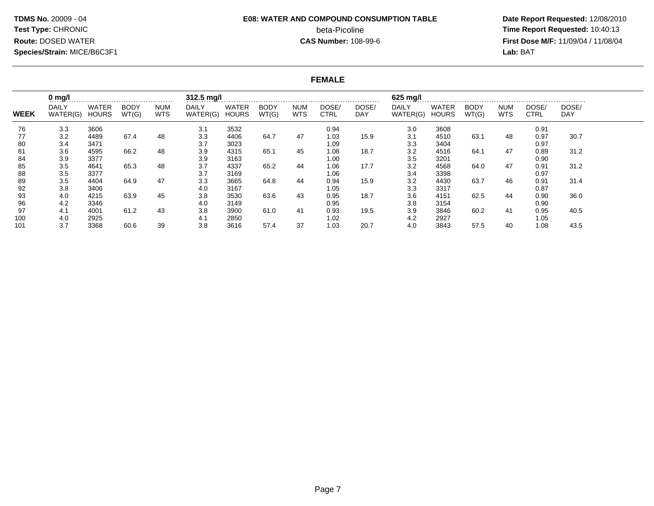# **E08: WATER AND COMPOUND CONSUMPTION TABLE**beta-Picoline<br>CAS Number: 108-99-6

 **Date Report Requested:** 12/08/2010 **Time Report Requested:** 10:40:13 **First Dose M/F:** 11/09/04 / 11/08/04<br>Lab: BAT **Lab:** BAT

#### **FEMALE**

|             | $0$ mg/l                 |                              |                      |                          | 312.5 mg/l        |                       |                      |                          |                      |               | 625 mg/l                 |                              |                      |                          |                      |                     |  |
|-------------|--------------------------|------------------------------|----------------------|--------------------------|-------------------|-----------------------|----------------------|--------------------------|----------------------|---------------|--------------------------|------------------------------|----------------------|--------------------------|----------------------|---------------------|--|
| <b>WEEK</b> | <b>DAILY</b><br>WATER(G) | <b>WATER</b><br><b>HOURS</b> | <b>BODY</b><br>WT(G) | <b>NUM</b><br><b>WTS</b> | DAILY<br>WATER(G) | WATER<br><b>HOURS</b> | <b>BODY</b><br>WT(G) | <b>NUM</b><br><b>WTS</b> | DOSE/<br><b>CTRL</b> | DOSE/<br>DAY. | <b>DAILY</b><br>WATER(G) | <b>WATER</b><br><b>HOURS</b> | <b>BODY</b><br>WT(G) | <b>NUM</b><br><b>WTS</b> | DOSE/<br><b>CTRL</b> | DOSE/<br><b>DAY</b> |  |
| 76          | 3.3                      | 3606                         |                      |                          | 3.1               | 3532                  |                      |                          | 0.94                 |               | 3.0                      | 3608                         |                      |                          | 0.91                 |                     |  |
| 77          | 3.2                      | 4489                         | 67.4                 | 48                       | 3.3               | 4406                  | 64.7                 | 47                       | 1.03                 | 15.9          | 3.1                      | 4510                         | 63.1                 | 48                       | 0.97                 | 30.7                |  |
| 80          | 3.4                      | 3471                         |                      |                          | 3.7               | 3023                  |                      |                          | 1.09                 |               | 3.3                      | 3404                         |                      |                          | 0.97                 |                     |  |
| 81          | 3.6                      | 4595                         | 66.2                 | 48                       | 3.9               | 4315                  | 65.1                 | 45                       | 1.08                 | 18.7          | 3.2                      | 4516                         | 64.1                 | 47                       | 0.89                 | 31.2                |  |
| 84          | 3.9                      | 3377                         |                      |                          | 3.9               | 3163                  |                      |                          | 1.00                 |               | 3.5                      | 3201                         |                      |                          | 0.90                 |                     |  |
| 85          | 3.5                      | 4641                         | 65.3                 | 48                       | 3.7               | 4337                  | 65.2                 | 44                       | 1.06                 | 17.7          | 3.2                      | 4568                         | 64.0                 | 47                       | 0.91                 | 31.2                |  |
| 88          | 3.5                      | 3377                         |                      |                          | 3.7               | 3169                  |                      |                          | 1.06                 |               | 3.4                      | 3398                         |                      |                          | 0.97                 |                     |  |
| 89          | 3.5                      | 4404                         | 64.9                 | 47                       | 3.3               | 3665                  | 64.8                 | 44                       | 0.94                 | 15.9          | 3.2                      | 4430                         | 63.7                 | 46                       | 0.91                 | 31.4                |  |
| 92          | 3.8                      | 3406                         |                      |                          | 4.0               | 3167                  |                      |                          | 1.05                 |               | 3.3                      | 3317                         |                      |                          | 0.87                 |                     |  |
| 93          | 4.0                      | 4215                         | 63.9                 | 45                       | 3.8               | 3530                  | 63.6                 | 43                       | 0.95                 | 18.7          | 3.6                      | 4151                         | 62.5                 | 44                       | 0.90                 | 36.0                |  |
| 96          | 4.2                      | 3346                         |                      |                          | 4.0               | 3149                  |                      |                          | 0.95                 |               | 3.8                      | 3154                         |                      |                          | 0.90                 |                     |  |
| 97          | 4.1                      | 4001                         | 61.2                 | 43                       | 3.8               | 3900                  | 61.0                 | 41                       | 0.93                 | 19.5          | 3.9                      | 3846                         | 60.2                 | 41                       | 0.95                 | 40.5                |  |
| 100         | 4.0                      | 2925                         |                      |                          | 4.1               | 2850                  |                      |                          | 1.02                 |               | 4.2                      | 2927                         |                      |                          | 1.05                 |                     |  |
| 101         | 3.7                      | 3368                         | 60.6                 | 39                       | 3.8               | 3616                  | 57.4                 | 37                       | 1.03                 | 20.7          | 4.0                      | 3843                         | 57.5                 | 40                       | 1.08                 | 43.5                |  |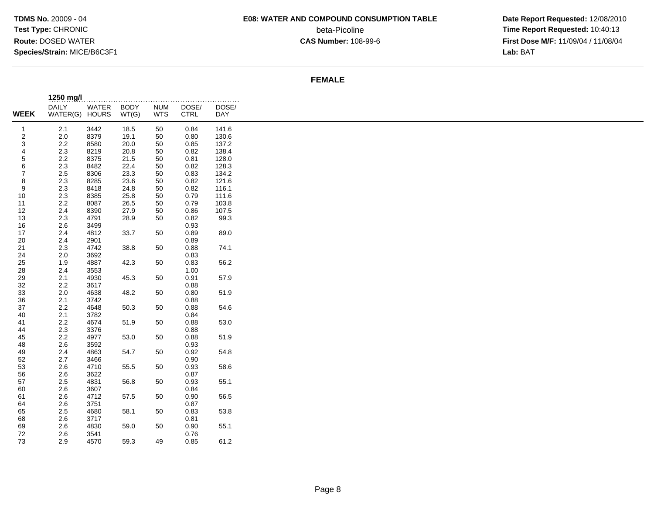### **E08: WATER AND COMPOUND CONSUMPTION TABLE**

beta-Picoline<br>CAS Number: 108-99-6

 **Date Report Requested:** 12/08/2010 **Time Report Requested:** 10:40:13 **First Dose M/F:** 11/09/04 / 11/08/04<br>Lab: BAT **Lab:** BAT

#### **FEMALE**

|                | 1250 mg/l      |       |             |            | .            | .     |
|----------------|----------------|-------|-------------|------------|--------------|-------|
|                | <b>DAILY</b>   | WATER | <b>BODY</b> | <b>NUM</b> | DOSE/        | DOSE/ |
| <b>WEEK</b>    | WATER(G) HOURS |       | WT(G)       | <b>WTS</b> | <b>CTRL</b>  | DAY   |
| $\mathbf{1}$   | 2.1            | 3442  | 18.5        | 50         | 0.84         | 141.6 |
| $\overline{2}$ | $2.0\,$        | 8379  | 19.1        | 50         | 0.80         | 130.6 |
| 3              | 2.2            | 8580  | 20.0        | 50         | 0.85         | 137.2 |
| 4              | $2.3\,$        |       | 20.8        | 50         | 0.82         | 138.4 |
|                |                | 8219  |             |            |              |       |
| 5              | $2.2\,$        | 8375  | 21.5        | 50         | 0.81         | 128.0 |
| 6              | 2.3            | 8482  | 22.4        | 50         | 0.82         | 128.3 |
| $\overline{7}$ | 2.5            | 8306  | 23.3        | 50         | 0.83         | 134.2 |
| 8              | 2.3            | 8285  | 23.6        | 50         | 0.82         | 121.6 |
| 9              | 2.3            | 8418  | 24.8        | 50         | 0.82         | 116.1 |
| 10             | 2.3            | 8385  | 25.8        | 50         | 0.79         | 111.6 |
| 11             | 2.2            | 8087  | 26.5        | 50         | 0.79         | 103.8 |
| 12             | 2.4            | 8390  | 27.9        | 50         | 0.86         | 107.5 |
| 13             | $2.3\,$        | 4791  | 28.9        | 50         | 0.82         | 99.3  |
| 16             | 2.6            | 3499  |             |            | 0.93         |       |
| 17             | 2.4            | 4812  | 33.7        | 50         | 0.89         | 89.0  |
| 20             | 2.4            | 2901  |             |            | 0.89         |       |
| 21             | 2.3            | 4742  | 38.8        | 50         | 0.88         | 74.1  |
| 24             | 2.0            | 3692  |             |            | 0.83         |       |
| 25             | 1.9            | 4887  | 42.3        | 50         | 0.83         | 56.2  |
| 28             | 2.4            | 3553  |             |            | 1.00         |       |
| 29             | 2.1            | 4930  | 45.3        | 50         | 0.91         | 57.9  |
| 32             |                |       |             |            |              |       |
|                | 2.2            | 3617  |             |            | 0.88         |       |
| 33             | $2.0\,$        | 4638  | 48.2        | 50         | 0.80         | 51.9  |
| 36             | 2.1            | 3742  |             |            | 0.88         |       |
| 37             | $2.2\,$        | 4648  | 50.3        | 50         | 0.88         | 54.6  |
| 40             | 2.1            | 3782  |             |            | 0.84         |       |
| 41             | $2.2\,$        | 4674  | 51.9        | 50         | 0.88         | 53.0  |
| 44             | $2.3\,$        | 3376  |             |            | 0.88         |       |
| 45             | 2.2            | 4977  | 53.0        | 50         | 0.88         | 51.9  |
| 48             | 2.6            | 3592  |             |            | 0.93         |       |
| 49             | 2.4            | 4863  | 54.7        | 50         | 0.92         | 54.8  |
| 52             | 2.7            | 3466  |             |            | 0.90         |       |
| 53             | 2.6            | 4710  | 55.5        | 50         | 0.93         | 58.6  |
| 56             | 2.6            | 3622  |             |            | 0.87         |       |
| 57             | 2.5            | 4831  | 56.8        | 50         | 0.93         | 55.1  |
| 60             | 2.6            | 3607  |             |            | 0.84         |       |
| 61             | 2.6            | 4712  | 57.5        | 50         | 0.90         | 56.5  |
| 64             | 2.6            | 3751  |             |            | 0.87         |       |
| 65             | 2.5            | 4680  | 58.1        | 50         | 0.83         | 53.8  |
| 68             | 2.6            | 3717  |             |            | 0.81         |       |
| 69             | 2.6            | 4830  | 59.0        | 50         | 0.90         | 55.1  |
|                |                |       |             |            |              |       |
| 72<br>73       | 2.6            | 3541  |             | 49         | 0.76<br>0.85 |       |
|                | 2.9            | 4570  | 59.3        |            |              | 61.2  |
|                |                |       |             |            |              |       |